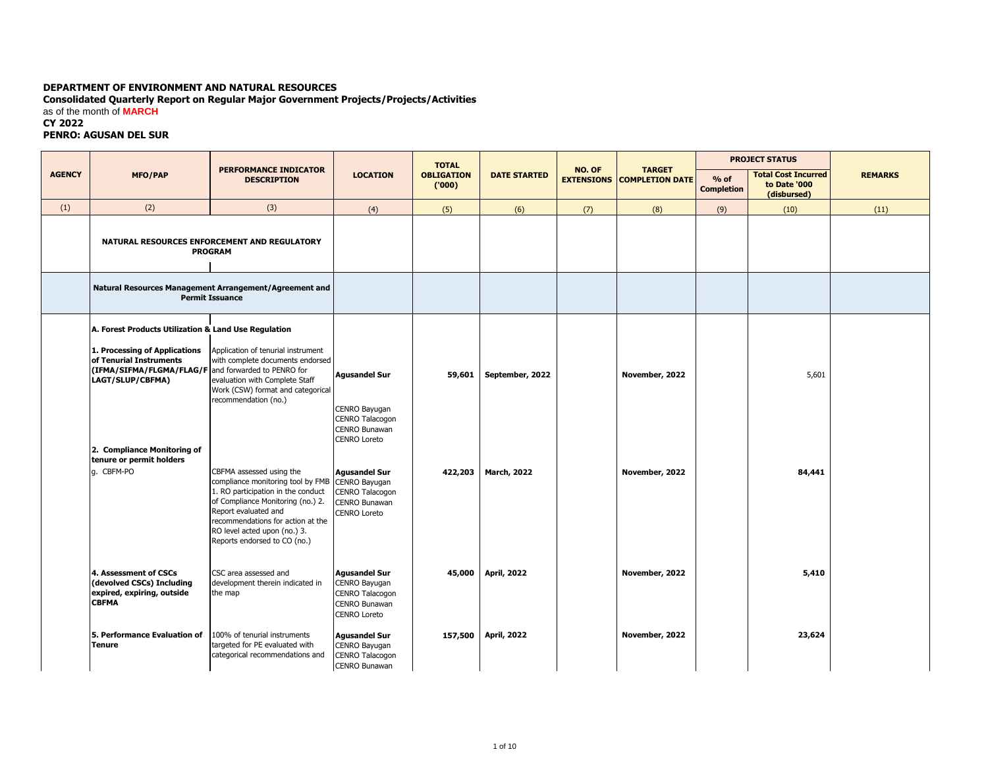## **DEPARTMENT OF ENVIRONMENT AND NATURAL RESOURCES**

**Consolidated Quarterly Report on Regular Major Government Projects/Projects/Activities**

as of the month of **MARCH**

## **CY 2022**

## **PENRO: AGUSAN DEL SUR**

|               |                                                                                                                                     |                                                                                                                                                                                                                                                                       |                                                                                                  | <b>TOTAL</b>               |                     |        | <b>PROJECT STATUS</b><br><b>TARGET</b> |                             |                                                           |                |
|---------------|-------------------------------------------------------------------------------------------------------------------------------------|-----------------------------------------------------------------------------------------------------------------------------------------------------------------------------------------------------------------------------------------------------------------------|--------------------------------------------------------------------------------------------------|----------------------------|---------------------|--------|----------------------------------------|-----------------------------|-----------------------------------------------------------|----------------|
| <b>AGENCY</b> | <b>MFO/PAP</b>                                                                                                                      | <b>PERFORMANCE INDICATOR</b><br><b>DESCRIPTION</b>                                                                                                                                                                                                                    | <b>LOCATION</b>                                                                                  | <b>OBLIGATION</b><br>(000) | <b>DATE STARTED</b> | NO. OF | <b>EXTENSIONS COMPLETION DATE</b>      | $%$ of<br><b>Completion</b> | <b>Total Cost Incurred</b><br>to Date '000<br>(disbursed) | <b>REMARKS</b> |
| (1)           | (2)                                                                                                                                 | (3)                                                                                                                                                                                                                                                                   | (4)                                                                                              | (5)                        | (6)                 | (7)    | (8)                                    | (9)                         | (10)                                                      | (11)           |
|               |                                                                                                                                     | NATURAL RESOURCES ENFORCEMENT AND REGULATORY<br><b>PROGRAM</b>                                                                                                                                                                                                        |                                                                                                  |                            |                     |        |                                        |                             |                                                           |                |
|               |                                                                                                                                     | Natural Resources Management Arrangement/Agreement and<br><b>Permit Issuance</b>                                                                                                                                                                                      |                                                                                                  |                            |                     |        |                                        |                             |                                                           |                |
|               | A. Forest Products Utilization & Land Use Regulation                                                                                |                                                                                                                                                                                                                                                                       |                                                                                                  |                            |                     |        |                                        |                             |                                                           |                |
|               | 1. Processing of Applications<br>of Tenurial Instruments<br>(IFMA/SIFMA/FLGMA/FLAG/F and forwarded to PENRO for<br>LAGT/SLUP/CBFMA) | Application of tenurial instrument<br>with complete documents endorsed<br>evaluation with Complete Staff<br>Work (CSW) format and categorical<br>recommendation (no.)                                                                                                 | <b>Agusandel Sur</b><br>CENRO Bayugan<br>CENRO Talacogon<br>CENRO Bunawan<br>CENRO Loreto        | 59,601                     | September, 2022     |        | November, 2022                         |                             | 5,601                                                     |                |
|               | 2. Compliance Monitoring of<br>tenure or permit holders                                                                             |                                                                                                                                                                                                                                                                       |                                                                                                  |                            |                     |        |                                        |                             |                                                           |                |
|               | q. CBFM-PO                                                                                                                          | CBFMA assessed using the<br>compliance monitoring tool by FMB<br>1. RO participation in the conduct<br>of Compliance Monitoring (no.) 2.<br>Report evaluated and<br>recommendations for action at the<br>RO level acted upon (no.) 3.<br>Reports endorsed to CO (no.) | <b>Agusandel Sur</b><br>CENRO Bayugan<br>CENRO Talacogon<br><b>CENRO Bunawan</b><br>CENRO Loreto | 422,203                    | <b>March, 2022</b>  |        | November, 2022                         |                             | 84,441                                                    |                |
|               | 4. Assessment of CSCs<br>(devolved CSCs) Including<br>expired, expiring, outside<br><b>CBFMA</b>                                    | CSC area assessed and<br>development therein indicated in<br>the map                                                                                                                                                                                                  | <b>Agusandel Sur</b><br>CENRO Bayugan<br>CENRO Talacogon<br>CENRO Bunawan<br><b>CENRO Loreto</b> | 45,000                     | <b>April, 2022</b>  |        | November, 2022                         |                             | 5,410                                                     |                |
|               | 5. Performance Evaluation of<br>Tenure                                                                                              | 100% of tenurial instruments<br>targeted for PE evaluated with<br>categorical recommendations and                                                                                                                                                                     | <b>Agusandel Sur</b><br>CENRO Bayugan<br>CENRO Talacogon<br><b>CENRO Bunawan</b>                 | 157,500                    | <b>April, 2022</b>  |        | November, 2022                         |                             | 23,624                                                    |                |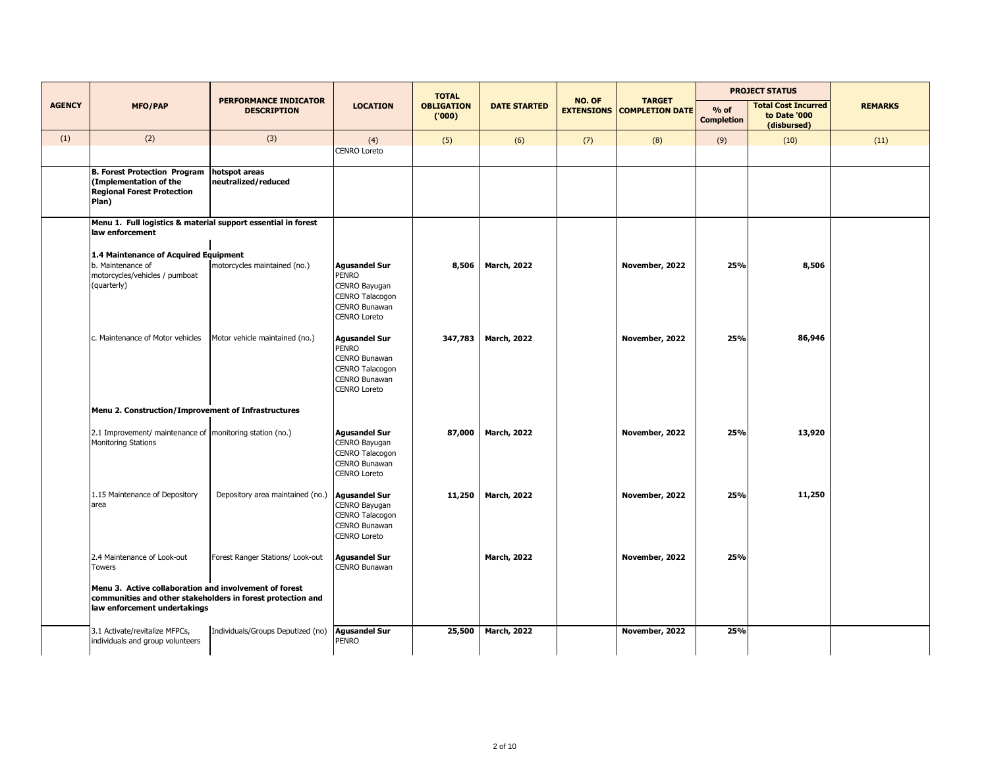|               |                                                                                                                                                       |                                                    |                                                                                                                  | <b>TOTAL</b>                |                     |        |                                   | <b>PROJECT STATUS</b><br><b>TARGET</b> |                                                           |                |
|---------------|-------------------------------------------------------------------------------------------------------------------------------------------------------|----------------------------------------------------|------------------------------------------------------------------------------------------------------------------|-----------------------------|---------------------|--------|-----------------------------------|----------------------------------------|-----------------------------------------------------------|----------------|
| <b>AGENCY</b> | <b>MFO/PAP</b>                                                                                                                                        | <b>PERFORMANCE INDICATOR</b><br><b>DESCRIPTION</b> | <b>LOCATION</b>                                                                                                  | <b>OBLIGATION</b><br>('000) | <b>DATE STARTED</b> | NO. OF | <b>EXTENSIONS COMPLETION DATE</b> | $%$ of<br><b>Completion</b>            | <b>Total Cost Incurred</b><br>to Date '000<br>(disbursed) | <b>REMARKS</b> |
| (1)           | (2)                                                                                                                                                   | (3)                                                | (4)<br>CENRO Loreto                                                                                              | (5)                         | (6)                 | (7)    | (8)                               | (9)                                    | (10)                                                      | (11)           |
|               | <b>B. Forest Protection Program</b><br>(Implementation of the<br><b>Regional Forest Protection</b><br>Plan)                                           | hotspot areas<br>neutralized/reduced               |                                                                                                                  |                             |                     |        |                                   |                                        |                                                           |                |
|               | Menu 1. Full logistics & material support essential in forest<br>law enforcement                                                                      |                                                    |                                                                                                                  |                             |                     |        |                                   |                                        |                                                           |                |
|               | 1.4 Maintenance of Acquired Equipment<br>b. Maintenance of<br>motorcycles/vehicles / pumboat<br>(quarterly)                                           | motorcycles maintained (no.)                       | <b>Agusandel Sur</b><br><b>PENRO</b><br>CENRO Bayugan<br>CENRO Talacogon<br>CENRO Bunawan<br><b>CENRO Loreto</b> | 8,506                       | <b>March, 2022</b>  |        | November, 2022                    | 25%                                    | 8,506                                                     |                |
|               | c. Maintenance of Motor vehicles                                                                                                                      | Motor vehicle maintained (no.)                     | <b>Agusandel Sur</b><br><b>PENRO</b><br>CENRO Bunawan<br>CENRO Talacogon<br>CENRO Bunawan<br><b>CENRO Loreto</b> | 347,783                     | <b>March, 2022</b>  |        | November, 2022                    | 25%                                    | 86,946                                                    |                |
|               | Menu 2. Construction/Improvement of Infrastructures                                                                                                   |                                                    |                                                                                                                  |                             |                     |        |                                   |                                        |                                                           |                |
|               | 2.1 Improvement/ maintenance of   monitoring station (no.)<br><b>Monitoring Stations</b>                                                              |                                                    | <b>Agusandel Sur</b><br>CENRO Bayugan<br>CENRO Talacogon<br>CENRO Bunawan<br><b>CENRO Loreto</b>                 | 87,000                      | <b>March, 2022</b>  |        | November, 2022                    | 25%                                    | 13,920                                                    |                |
|               | 1.15 Maintenance of Depository<br>area                                                                                                                | Depository area maintained (no.)                   | <b>Agusandel Sur</b><br>CENRO Bayugan<br>CENRO Talacogon<br>CENRO Bunawan<br><b>CENRO Loreto</b>                 | 11,250                      | <b>March, 2022</b>  |        | November, 2022                    | 25%                                    | 11,250                                                    |                |
|               | 2.4 Maintenance of Look-out<br><b>Towers</b>                                                                                                          | Forest Ranger Stations/ Look-out                   | <b>Agusandel Sur</b><br>CENRO Bunawan                                                                            |                             | <b>March, 2022</b>  |        | November, 2022                    | 25%                                    |                                                           |                |
|               | Menu 3. Active collaboration and involvement of forest<br>communities and other stakeholders in forest protection and<br>law enforcement undertakings |                                                    |                                                                                                                  |                             |                     |        |                                   |                                        |                                                           |                |
|               | 3.1 Activate/revitalize MFPCs,<br>individuals and group volunteers                                                                                    | Individuals/Groups Deputized (no)                  | <b>Agusandel Sur</b><br>PENRO                                                                                    | 25,500                      | <b>March, 2022</b>  |        | November, 2022                    | 25%                                    |                                                           |                |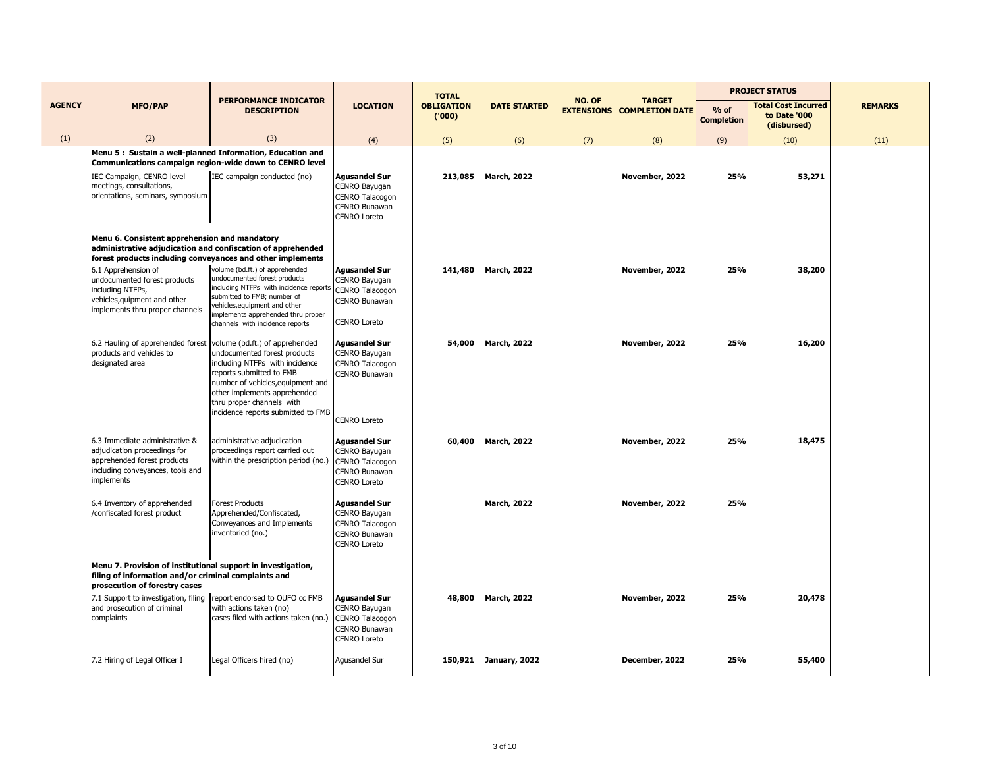|               |                                                                                                                                                                            |                                                                                                                                                                                                                                                   |                                                                                                         | <b>TOTAL</b>               |                     |        |                                                    | <b>PROJECT STATUS</b>       |                                                           |                |
|---------------|----------------------------------------------------------------------------------------------------------------------------------------------------------------------------|---------------------------------------------------------------------------------------------------------------------------------------------------------------------------------------------------------------------------------------------------|---------------------------------------------------------------------------------------------------------|----------------------------|---------------------|--------|----------------------------------------------------|-----------------------------|-----------------------------------------------------------|----------------|
| <b>AGENCY</b> | <b>MFO/PAP</b>                                                                                                                                                             | <b>PERFORMANCE INDICATOR</b><br><b>DESCRIPTION</b>                                                                                                                                                                                                | <b>LOCATION</b>                                                                                         | <b>OBLIGATION</b><br>(000) | <b>DATE STARTED</b> | NO. OF | <b>TARGET</b><br><b>EXTENSIONS COMPLETION DATE</b> | $%$ of<br><b>Completion</b> | <b>Total Cost Incurred</b><br>to Date '000<br>(disbursed) | <b>REMARKS</b> |
| (1)           | (2)                                                                                                                                                                        | (3)                                                                                                                                                                                                                                               | (4)                                                                                                     | (5)                        | (6)                 | (7)    | (8)                                                | (9)                         | (10)                                                      | (11)           |
|               | Menu 5: Sustain a well-planned Information, Education and<br>Communications campaign region-wide down to CENRO level                                                       |                                                                                                                                                                                                                                                   |                                                                                                         |                            |                     |        |                                                    |                             |                                                           |                |
|               | IEC Campaign, CENRO level<br>meetings, consultations,<br>orientations, seminars, symposium                                                                                 | IEC campaign conducted (no)                                                                                                                                                                                                                       | <b>Agusandel Sur</b><br>CENRO Bayugan<br>CENRO Talacogon<br>CENRO Bunawan<br><b>CENRO Loreto</b>        | 213,085                    | <b>March, 2022</b>  |        | November, 2022                                     | 25%                         | 53,271                                                    |                |
|               | Menu 6. Consistent apprehension and mandatory<br>administrative adjudication and confiscation of apprehended<br>forest products including conveyances and other implements |                                                                                                                                                                                                                                                   |                                                                                                         |                            |                     |        |                                                    |                             |                                                           |                |
|               | 6.1 Apprehension of<br>undocumented forest products<br>including NTFPs,<br>vehicles, quipment and other<br>implements thru proper channels                                 | volume (bd.ft.) of apprehended<br>undocumented forest products<br>including NTFPs with incidence reports<br>submitted to FMB; number of<br>vehicles, equipment and other<br>implements apprehended thru proper<br>channels with incidence reports | <b>Agusandel Sur</b><br>CENRO Bayugan<br><b>CENRO Talacogon</b><br>CENRO Bunawan<br><b>CENRO Loreto</b> | 141,480                    | <b>March, 2022</b>  |        | November, 2022                                     | 25%                         | 38,200                                                    |                |
|               | 6.2 Hauling of apprehended forest volume (bd.ft.) of apprehended<br>products and vehicles to<br>designated area                                                            | undocumented forest products<br>including NTFPs with incidence<br>reports submitted to FMB<br>number of vehicles, equipment and<br>other implements apprehended<br>thru proper channels with<br>incidence reports submitted to FMB                | <b>Agusandel Sur</b><br>CENRO Bayugan<br>CENRO Talacogon<br>CENRO Bunawan<br><b>CENRO Loreto</b>        | 54,000                     | <b>March, 2022</b>  |        | November, 2022                                     | 25%                         | 16,200                                                    |                |
|               | 6.3 Immediate administrative &<br>adjudication proceedings for<br>apprehended forest products<br>including conveyances, tools and<br>implements                            | administrative adjudication<br>proceedings report carried out<br>within the prescription period (no.)                                                                                                                                             | <b>Agusandel Sur</b><br>CENRO Bayugan<br>CENRO Talacogon<br><b>CENRO Bunawan</b><br><b>CENRO Loreto</b> | 60,400                     | <b>March, 2022</b>  |        | November, 2022                                     | 25%                         | 18,475                                                    |                |
|               | 6.4 Inventory of apprehended<br>/confiscated forest product                                                                                                                | <b>Forest Products</b><br>Apprehended/Confiscated,<br>Conveyances and Implements<br>inventoried (no.)                                                                                                                                             | <b>Agusandel Sur</b><br>CENRO Bayugan<br>CENRO Talacogon<br>CENRO Bunawan<br><b>CENRO Loreto</b>        |                            | <b>March, 2022</b>  |        | November, 2022                                     | 25%                         |                                                           |                |
|               | Menu 7. Provision of institutional support in investigation,<br>filing of information and/or criminal complaints and<br>prosecution of forestry cases                      |                                                                                                                                                                                                                                                   |                                                                                                         |                            |                     |        |                                                    |                             |                                                           |                |
|               | 7.1 Support to investigation, filing report endorsed to OUFO cc FMB<br>and prosecution of criminal<br>complaints                                                           | with actions taken (no)<br>cases filed with actions taken (no.)                                                                                                                                                                                   | <b>Agusandel Sur</b><br>CENRO Bayugan<br>CENRO Talacogon<br><b>CENRO Bunawan</b><br><b>CENRO Loreto</b> | 48,800                     | <b>March, 2022</b>  |        | November, 2022                                     | 25%                         | 20,478                                                    |                |
|               | 7.2 Hiring of Legal Officer I                                                                                                                                              | Legal Officers hired (no)                                                                                                                                                                                                                         | Agusandel Sur                                                                                           | 150,921                    | January, 2022       |        | December, 2022                                     | 25%                         | 55,400                                                    |                |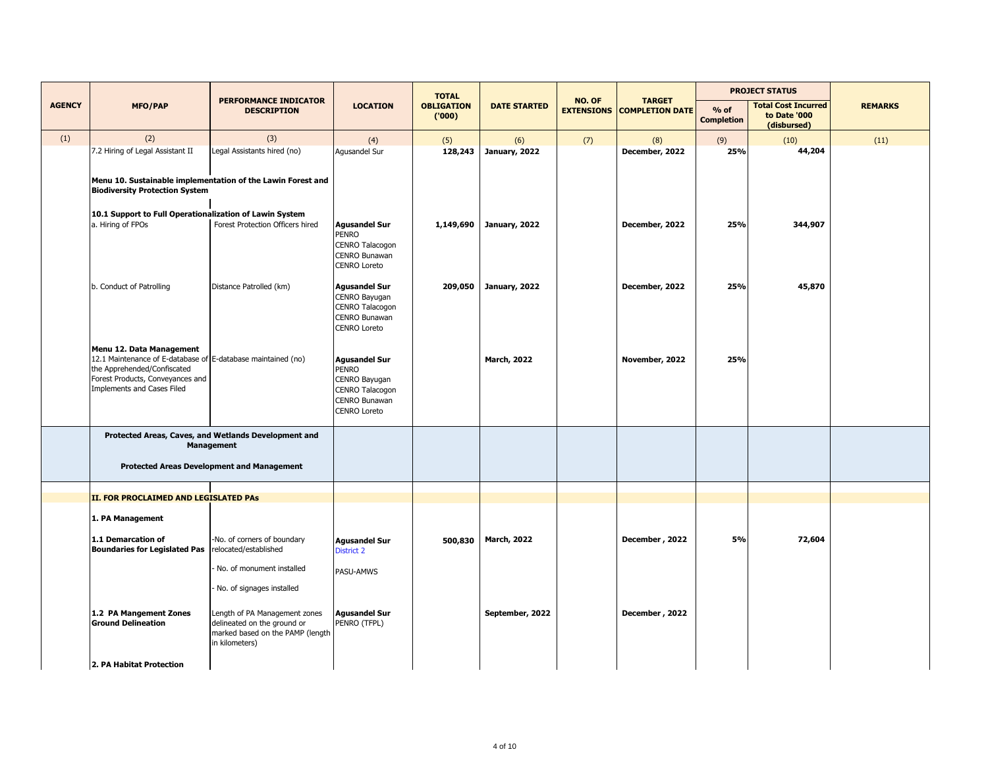|               |                                                                                                                                                                                           |                                                                                                                    |                                                                                                                  | <b>TOTAL</b>               |                     |        |                                                    | <b>PROJECT STATUS</b>       |                                                           |                |
|---------------|-------------------------------------------------------------------------------------------------------------------------------------------------------------------------------------------|--------------------------------------------------------------------------------------------------------------------|------------------------------------------------------------------------------------------------------------------|----------------------------|---------------------|--------|----------------------------------------------------|-----------------------------|-----------------------------------------------------------|----------------|
| <b>AGENCY</b> | <b>MFO/PAP</b>                                                                                                                                                                            | <b>PERFORMANCE INDICATOR</b><br><b>DESCRIPTION</b>                                                                 | <b>LOCATION</b>                                                                                                  | <b>OBLIGATION</b><br>(000) | <b>DATE STARTED</b> | NO. OF | <b>TARGET</b><br><b>EXTENSIONS COMPLETION DATE</b> | $%$ of<br><b>Completion</b> | <b>Total Cost Incurred</b><br>to Date '000<br>(disbursed) | <b>REMARKS</b> |
| (1)           | (2)                                                                                                                                                                                       | (3)                                                                                                                | (4)                                                                                                              | (5)                        | (6)                 | (7)    | (8)                                                | (9)                         | (10)                                                      | (11)           |
|               | 7.2 Hiring of Legal Assistant II<br><b>Biodiversity Protection System</b>                                                                                                                 | Legal Assistants hired (no)<br>Menu 10. Sustainable implementation of the Lawin Forest and                         | Agusandel Sur                                                                                                    | 128,243                    | January, 2022       |        | December, 2022                                     | 25%                         | 44,204                                                    |                |
|               |                                                                                                                                                                                           |                                                                                                                    |                                                                                                                  |                            |                     |        |                                                    |                             |                                                           |                |
|               | 10.1 Support to Full Operationalization of Lawin System<br>a. Hiring of FPOs                                                                                                              | Forest Protection Officers hired                                                                                   | <b>Agusandel Sur</b><br><b>PENRO</b><br>CENRO Talacogon<br>CENRO Bunawan<br><b>CENRO Loreto</b>                  | 1,149,690                  | January, 2022       |        | December, 2022                                     | 25%                         | 344,907                                                   |                |
|               | b. Conduct of Patrolling                                                                                                                                                                  | Distance Patrolled (km)                                                                                            | <b>Agusandel Sur</b><br>CENRO Bayugan<br>CENRO Talacogon<br>CENRO Bunawan<br><b>CENRO Loreto</b>                 | 209,050                    | January, 2022       |        | December, 2022                                     | 25%                         | 45,870                                                    |                |
|               | Menu 12. Data Management<br>12.1 Maintenance of E-database of E-database maintained (no)<br>the Apprehended/Confiscated<br>Forest Products, Conveyances and<br>Implements and Cases Filed |                                                                                                                    | <b>Agusandel Sur</b><br><b>PENRO</b><br>CENRO Bayugan<br>CENRO Talacogon<br>CENRO Bunawan<br><b>CENRO Loreto</b> |                            | <b>March, 2022</b>  |        | November, 2022                                     | 25%                         |                                                           |                |
|               |                                                                                                                                                                                           | Protected Areas, Caves, and Wetlands Development and<br><b>Management</b>                                          |                                                                                                                  |                            |                     |        |                                                    |                             |                                                           |                |
|               |                                                                                                                                                                                           | <b>Protected Areas Development and Management</b>                                                                  |                                                                                                                  |                            |                     |        |                                                    |                             |                                                           |                |
|               | II. FOR PROCLAIMED AND LEGISLATED PAs                                                                                                                                                     |                                                                                                                    |                                                                                                                  |                            |                     |        |                                                    |                             |                                                           |                |
|               | 1. PA Management                                                                                                                                                                          |                                                                                                                    |                                                                                                                  |                            |                     |        |                                                    |                             |                                                           |                |
|               | 1.1 Demarcation of<br><b>Boundaries for Legislated Pas</b>                                                                                                                                | -No. of corners of boundary<br>relocated/established                                                               | <b>Agusandel Sur</b><br><b>District 2</b>                                                                        | 500,830                    | <b>March, 2022</b>  |        | December, 2022                                     | 5%                          | 72,604                                                    |                |
|               |                                                                                                                                                                                           | No. of monument installed<br>No. of signages installed                                                             | PASU-AMWS                                                                                                        |                            |                     |        |                                                    |                             |                                                           |                |
|               | 1.2 PA Mangement Zones<br><b>Ground Delineation</b><br>2. PA Habitat Protection                                                                                                           | Length of PA Management zones<br>delineated on the ground or<br>marked based on the PAMP (length<br>in kilometers) | <b>Agusandel Sur</b><br>PENRO (TFPL)                                                                             |                            | September, 2022     |        | December, 2022                                     |                             |                                                           |                |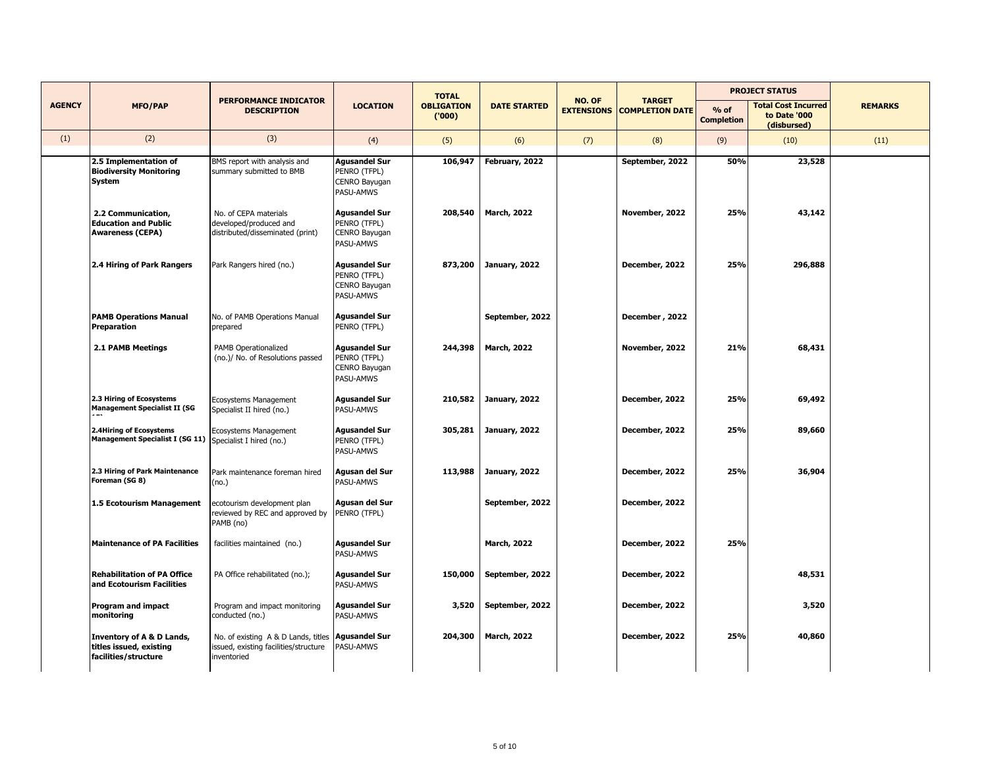|               |                                                                              |                                                                                             |                                                                    | <b>TOTAL</b>               |                     |                             |                                         |                             | <b>PROJECT STATUS</b>                                     |                |
|---------------|------------------------------------------------------------------------------|---------------------------------------------------------------------------------------------|--------------------------------------------------------------------|----------------------------|---------------------|-----------------------------|-----------------------------------------|-----------------------------|-----------------------------------------------------------|----------------|
| <b>AGENCY</b> | <b>MFO/PAP</b>                                                               | <b>PERFORMANCE INDICATOR</b><br><b>DESCRIPTION</b>                                          | <b>LOCATION</b>                                                    | <b>OBLIGATION</b><br>(000) | <b>DATE STARTED</b> | NO. OF<br><b>EXTENSIONS</b> | <b>TARGET</b><br><b>COMPLETION DATE</b> | $%$ of<br><b>Completion</b> | <b>Total Cost Incurred</b><br>to Date '000<br>(disbursed) | <b>REMARKS</b> |
| (1)           | (2)                                                                          | (3)                                                                                         | (4)                                                                | (5)                        | (6)                 | (7)                         | (8)                                     | (9)                         | (10)                                                      | (11)           |
|               | 2.5 Implementation of<br><b>Biodiversity Monitoring</b><br>System            | BMS report with analysis and<br>summary submitted to BMB                                    | <b>Agusandel Sur</b><br>PENRO (TFPL)<br>CENRO Bayugan<br>PASU-AMWS | 106,947                    | February, 2022      |                             | September, 2022                         | 50%                         | 23,528                                                    |                |
|               | 2.2 Communication,<br><b>Education and Public</b><br><b>Awareness (CEPA)</b> | No. of CEPA materials<br>developed/produced and<br>distributed/disseminated (print)         | <b>Agusandel Sur</b><br>PENRO (TFPL)<br>CENRO Bayugan<br>PASU-AMWS | 208,540                    | <b>March, 2022</b>  |                             | November, 2022                          | 25%                         | 43,142                                                    |                |
|               | 2.4 Hiring of Park Rangers                                                   | Park Rangers hired (no.)                                                                    | <b>Agusandel Sur</b><br>PENRO (TFPL)<br>CENRO Bayugan<br>PASU-AMWS | 873,200                    | January, 2022       |                             | December, 2022                          | 25%                         | 296,888                                                   |                |
|               | <b>PAMB Operations Manual</b><br>Preparation                                 | No. of PAMB Operations Manual<br>prepared                                                   | <b>Agusandel Sur</b><br>PENRO (TFPL)                               |                            | September, 2022     |                             | December, 2022                          |                             |                                                           |                |
|               | 2.1 PAMB Meetings                                                            | PAMB Operationalized<br>(no.)/ No. of Resolutions passed                                    | <b>Agusandel Sur</b><br>PENRO (TFPL)<br>CENRO Bayugan<br>PASU-AMWS | 244,398                    | <b>March, 2022</b>  |                             | November, 2022                          | 21%                         | 68,431                                                    |                |
|               | 2.3 Hiring of Ecosystems<br><b>Management Specialist II (SG</b>              | Ecosystems Management<br>Specialist II hired (no.)                                          | <b>Agusandel Sur</b><br>PASU-AMWS                                  | 210,582                    | January, 2022       |                             | December, 2022                          | 25%                         | 69,492                                                    |                |
|               | 2.4Hiring of Ecosystems<br>Management Specialist I (SG 11)                   | Ecosystems Management<br>Specialist I hired (no.)                                           | Agusandel Sur<br>PENRO (TFPL)<br>PASU-AMWS                         | 305,281                    | January, 2022       |                             | December, 2022                          | 25%                         | 89,660                                                    |                |
|               | 2.3 Hiring of Park Maintenance<br>Foreman (SG 8)                             | Park maintenance foreman hired<br>(no.)                                                     | Agusan del Sur<br>PASU-AMWS                                        | 113,988                    | January, 2022       |                             | December, 2022                          | 25%                         | 36,904                                                    |                |
|               | 1.5 Ecotourism Management                                                    | ecotourism development plan<br>reviewed by REC and approved by<br>PAMB (no)                 | Agusan del Sur<br>PENRO (TFPL)                                     |                            | September, 2022     |                             | December, 2022                          |                             |                                                           |                |
|               | <b>Maintenance of PA Facilities</b>                                          | facilities maintained (no.)                                                                 | <b>Agusandel Sur</b><br>PASU-AMWS                                  |                            | <b>March, 2022</b>  |                             | December, 2022                          | 25%                         |                                                           |                |
|               | <b>Rehabilitation of PA Office</b><br>and Ecotourism Facilities              | PA Office rehabilitated (no.);                                                              | <b>Agusandel Sur</b><br>PASU-AMWS                                  | 150,000                    | September, 2022     |                             | December, 2022                          |                             | 48,531                                                    |                |
|               | <b>Program and impact</b><br>monitoring                                      | Program and impact monitoring<br>conducted (no.)                                            | <b>Agusandel Sur</b><br>PASU-AMWS                                  | 3,520                      | September, 2022     |                             | December, 2022                          |                             | 3,520                                                     |                |
|               | Inventory of A & D Lands,<br>titles issued, existing<br>facilities/structure | No. of existing A & D Lands, titles<br>issued, existing facilities/structure<br>inventoried | <b>Agusandel Sur</b><br>PASU-AMWS                                  | 204,300                    | <b>March, 2022</b>  |                             | December, 2022                          | 25%                         | 40,860                                                    |                |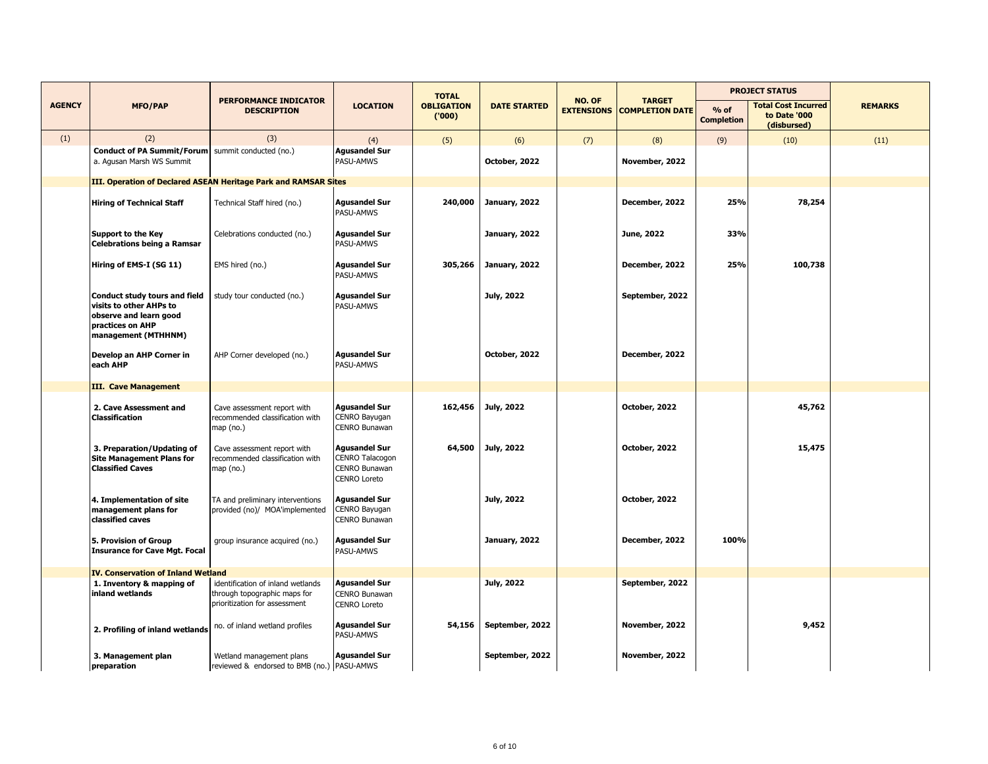|               |                                                                                                                               |                                                                                                    |                                                                                 | <b>TOTAL</b>               |                      |                             | <b>PROJECT STATUS</b>                   |                             |                                                           |                |
|---------------|-------------------------------------------------------------------------------------------------------------------------------|----------------------------------------------------------------------------------------------------|---------------------------------------------------------------------------------|----------------------------|----------------------|-----------------------------|-----------------------------------------|-----------------------------|-----------------------------------------------------------|----------------|
| <b>AGENCY</b> | <b>MFO/PAP</b>                                                                                                                | <b>PERFORMANCE INDICATOR</b><br><b>DESCRIPTION</b>                                                 | <b>LOCATION</b>                                                                 | <b>OBLIGATION</b><br>(000) | <b>DATE STARTED</b>  | NO. OF<br><b>EXTENSIONS</b> | <b>TARGET</b><br><b>COMPLETION DATE</b> | $%$ of<br><b>Completion</b> | <b>Total Cost Incurred</b><br>to Date '000<br>(disbursed) | <b>REMARKS</b> |
| (1)           | (2)                                                                                                                           | (3)                                                                                                | (4)                                                                             | (5)                        | (6)                  | (7)                         | (8)                                     | (9)                         | (10)                                                      | (11)           |
|               | Conduct of PA Summit/Forum summit conducted (no.)<br>a. Agusan Marsh WS Summit                                                |                                                                                                    | <b>Agusandel Sur</b><br>PASU-AMWS                                               |                            | October, 2022        |                             | November, 2022                          |                             |                                                           |                |
|               |                                                                                                                               | III. Operation of Declared ASEAN Heritage Park and RAMSAR Sites                                    |                                                                                 |                            |                      |                             |                                         |                             |                                                           |                |
|               | <b>Hiring of Technical Staff</b>                                                                                              | Technical Staff hired (no.)                                                                        | <b>Agusandel Sur</b><br>PASU-AMWS                                               | 240,000                    | <b>January, 2022</b> |                             | December, 2022                          | 25%                         | 78,254                                                    |                |
|               | <b>Support to the Key</b><br>Celebrations being a Ramsar                                                                      | Celebrations conducted (no.)                                                                       | <b>Agusandel Sur</b><br>PASU-AMWS                                               |                            | January, 2022        |                             | June, 2022                              | 33%                         |                                                           |                |
|               | Hiring of EMS-I (SG 11)                                                                                                       | EMS hired (no.)                                                                                    | <b>Agusandel Sur</b><br>PASU-AMWS                                               | 305,266                    | January, 2022        |                             | December, 2022                          | 25%                         | 100,738                                                   |                |
|               | Conduct study tours and field<br>visits to other AHPs to<br>observe and learn good<br>practices on AHP<br>management (MTHHNM) | study tour conducted (no.)                                                                         | <b>Agusandel Sur</b><br>PASU-AMWS                                               |                            | July, 2022           |                             | September, 2022                         |                             |                                                           |                |
|               | Develop an AHP Corner in<br>each AHP                                                                                          | AHP Corner developed (no.)                                                                         | <b>Agusandel Sur</b><br>PASU-AMWS                                               |                            | October, 2022        |                             | December, 2022                          |                             |                                                           |                |
|               | <b>III. Cave Management</b>                                                                                                   |                                                                                                    |                                                                                 |                            |                      |                             |                                         |                             |                                                           |                |
|               | 2. Cave Assessment and<br>Classification                                                                                      | Cave assessment report with<br>recommended classification with<br>map (no.)                        | <b>Agusandel Sur</b><br>CENRO Bayugan<br>CENRO Bunawan                          | 162,456                    | July, 2022           |                             | October, 2022                           |                             | 45,762                                                    |                |
|               | 3. Preparation/Updating of<br><b>Site Management Plans for</b><br><b>Classified Caves</b>                                     | Cave assessment report with<br>recommended classification with<br>map(no.)                         | <b>Agusandel Sur</b><br>CENRO Talacogon<br>CENRO Bunawan<br><b>CENRO Loreto</b> | 64,500                     | July, 2022           |                             | October, 2022                           |                             | 15,475                                                    |                |
|               | 4. Implementation of site<br>management plans for<br>classified caves                                                         | TA and preliminary interventions<br>provided (no)/ MOA'implemented                                 | <b>Agusandel Sur</b><br>CENRO Bayugan<br>CENRO Bunawan                          |                            | July, 2022           |                             | October, 2022                           |                             |                                                           |                |
|               | 5. Provision of Group<br><b>Insurance for Cave Mgt. Focal</b>                                                                 | group insurance acquired (no.)                                                                     | <b>Agusandel Sur</b><br>PASU-AMWS                                               |                            | January, 2022        |                             | December, 2022                          | 100%                        |                                                           |                |
|               | IV. Conservation of Inland Wetland                                                                                            |                                                                                                    |                                                                                 |                            |                      |                             |                                         |                             |                                                           |                |
|               | 1. Inventory & mapping of<br>inland wetlands                                                                                  | identification of inland wetlands<br>through topographic maps for<br>prioritization for assessment | <b>Agusandel Sur</b><br>CENRO Bunawan<br><b>CENRO Loreto</b>                    |                            | July, 2022           |                             | September, 2022                         |                             |                                                           |                |
|               | 2. Profiling of inland wetlands                                                                                               | no. of inland wetland profiles                                                                     | <b>Agusandel Sur</b><br>PASU-AMWS                                               | 54,156                     | September, 2022      |                             | November, 2022                          |                             | 9,452                                                     |                |
|               | 3. Management plan<br>preparation                                                                                             | Wetland management plans<br>reviewed & endorsed to BMB (no.) PASU-AMWS                             | <b>Agusandel Sur</b>                                                            |                            | September, 2022      |                             | November, 2022                          |                             |                                                           |                |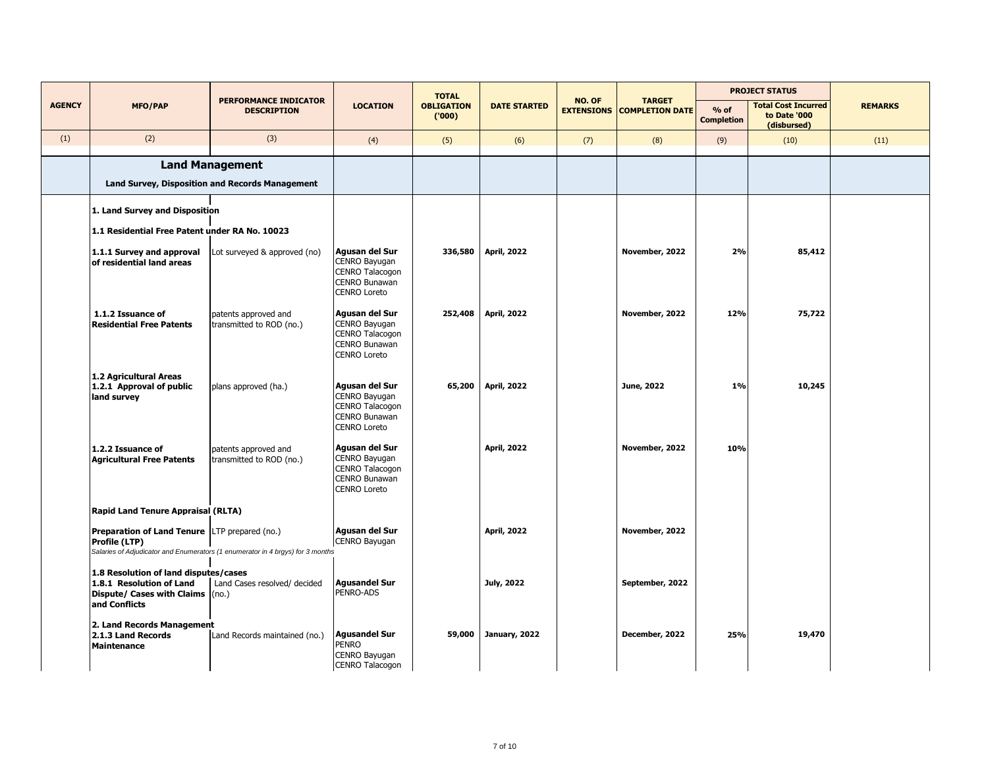|               |                                                                                                                        |                                                                                |                                                                                                   | <b>TOTAL</b>               |                     |                             | <b>TARGET</b>          |                             | <b>PROJECT STATUS</b>                                     |                |
|---------------|------------------------------------------------------------------------------------------------------------------------|--------------------------------------------------------------------------------|---------------------------------------------------------------------------------------------------|----------------------------|---------------------|-----------------------------|------------------------|-----------------------------|-----------------------------------------------------------|----------------|
| <b>AGENCY</b> | <b>MFO/PAP</b>                                                                                                         | <b>PERFORMANCE INDICATOR</b><br><b>DESCRIPTION</b>                             | <b>LOCATION</b>                                                                                   | <b>OBLIGATION</b><br>(000) | <b>DATE STARTED</b> | NO. OF<br><b>EXTENSIONS</b> | <b>COMPLETION DATE</b> | $%$ of<br><b>Completion</b> | <b>Total Cost Incurred</b><br>to Date '000<br>(disbursed) | <b>REMARKS</b> |
| (1)           | (2)                                                                                                                    | (3)                                                                            | (4)                                                                                               | (5)                        | (6)                 | (7)                         | (8)                    | (9)                         | (10)                                                      | (11)           |
|               |                                                                                                                        | <b>Land Management</b>                                                         |                                                                                                   |                            |                     |                             |                        |                             |                                                           |                |
|               |                                                                                                                        | <b>Land Survey, Disposition and Records Management</b>                         |                                                                                                   |                            |                     |                             |                        |                             |                                                           |                |
|               | 1. Land Survey and Disposition                                                                                         |                                                                                |                                                                                                   |                            |                     |                             |                        |                             |                                                           |                |
|               | 1.1 Residential Free Patent under RA No. 10023                                                                         |                                                                                |                                                                                                   |                            |                     |                             |                        |                             |                                                           |                |
|               | 1.1.1 Survey and approval<br>of residential land areas                                                                 | Lot surveyed & approved (no)                                                   | Agusan del Sur<br>CENRO Bayugan<br>CENRO Talacogon<br>CENRO Bunawan<br><b>CENRO Loreto</b>        | 336,580                    | <b>April, 2022</b>  |                             | November, 2022         | 2%                          | 85,412                                                    |                |
|               | 1.1.2 Issuance of<br><b>Residential Free Patents</b>                                                                   | patents approved and<br>transmitted to ROD (no.)                               | Agusan del Sur<br>CENRO Bayugan<br>CENRO Talacogon<br>CENRO Bunawan<br><b>CENRO Loreto</b>        | 252,408                    | <b>April, 2022</b>  |                             | November, 2022         | 12%                         | 75,722                                                    |                |
|               | 1.2 Agricultural Areas<br>1.2.1 Approval of public<br>land survey                                                      | plans approved (ha.)                                                           | Agusan del Sur<br>CENRO Bayugan<br><b>CENRO Talacogon</b><br>CENRO Bunawan<br><b>CENRO Loreto</b> | 65,200                     | <b>April, 2022</b>  |                             | June, 2022             | 1%                          | 10,245                                                    |                |
|               | 1.2.2 Issuance of<br><b>Agricultural Free Patents</b>                                                                  | patents approved and<br>transmitted to ROD (no.)                               | Agusan del Sur<br>CENRO Bayugan<br>CENRO Talacogon<br>CENRO Bunawan<br><b>CENRO Loreto</b>        |                            | <b>April, 2022</b>  |                             | November, 2022         | 10%                         |                                                           |                |
|               | <b>Rapid Land Tenure Appraisal (RLTA)</b>                                                                              |                                                                                |                                                                                                   |                            |                     |                             |                        |                             |                                                           |                |
|               | Preparation of Land Tenure LTP prepared (no.)<br>Profile (LTP)                                                         | Salaries of Adjudicator and Enumerators (1 enumerator in 4 brgys) for 3 months | Agusan del Sur<br>CENRO Bayugan                                                                   |                            | <b>April, 2022</b>  |                             | November, 2022         |                             |                                                           |                |
|               | 1.8 Resolution of land disputes/cases<br>1.8.1 Resolution of Land<br>Dispute/ Cases with Claims (no.)<br>and Conflicts | Land Cases resolved/ decided                                                   | <b>Agusandel Sur</b><br>PENRO-ADS                                                                 |                            | July, 2022          |                             | September, 2022        |                             |                                                           |                |
|               | 2. Land Records Management<br>2.1.3 Land Records<br><b>Maintenance</b>                                                 | Land Records maintained (no.)                                                  | <b>Agusandel Sur</b><br>PENRO<br>CENRO Bayugan<br>CENRO Talacogon                                 | 59,000                     | January, 2022       |                             | December, 2022         | 25%                         | 19,470                                                    |                |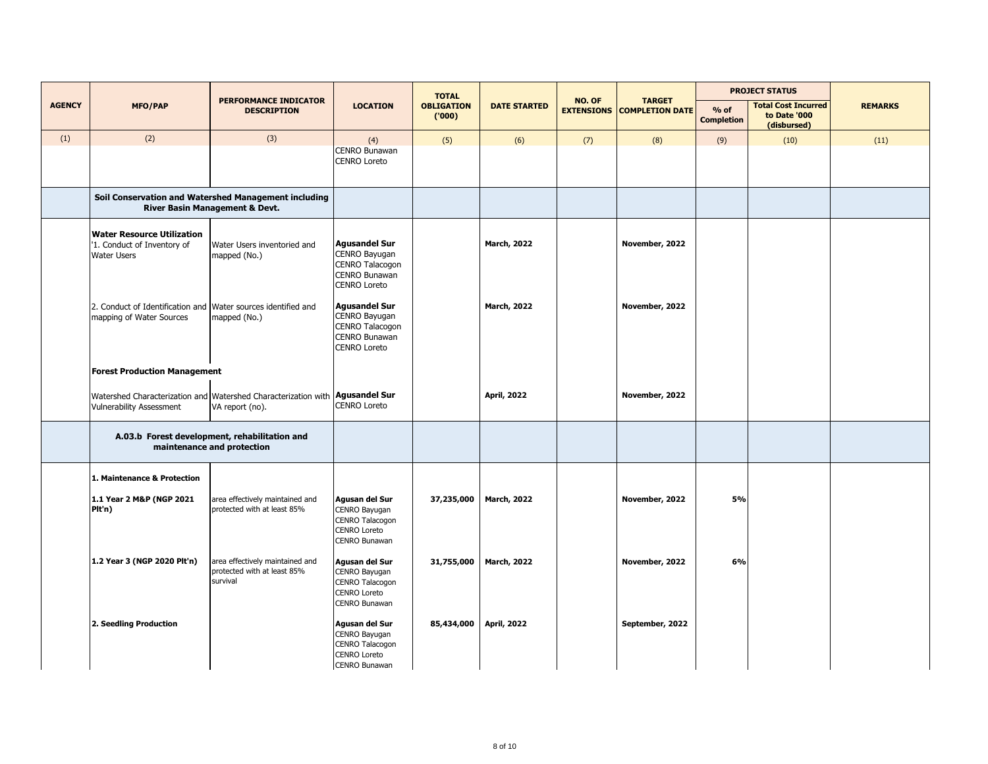|               |                                                                                           |                                                                                                        |                                                                                                  | <b>TOTAL</b>               |                     |                             |                                         |                             | <b>PROJECT STATUS</b>                                     |                |
|---------------|-------------------------------------------------------------------------------------------|--------------------------------------------------------------------------------------------------------|--------------------------------------------------------------------------------------------------|----------------------------|---------------------|-----------------------------|-----------------------------------------|-----------------------------|-----------------------------------------------------------|----------------|
| <b>AGENCY</b> | <b>MFO/PAP</b>                                                                            | <b>PERFORMANCE INDICATOR</b><br><b>DESCRIPTION</b>                                                     | <b>LOCATION</b>                                                                                  | <b>OBLIGATION</b><br>(000) | <b>DATE STARTED</b> | NO. OF<br><b>EXTENSIONS</b> | <b>TARGET</b><br><b>COMPLETION DATE</b> | $%$ of<br><b>Completion</b> | <b>Total Cost Incurred</b><br>to Date '000<br>(disbursed) | <b>REMARKS</b> |
| (1)           | (2)                                                                                       | (3)                                                                                                    | (4)                                                                                              | (5)                        | (6)                 | (7)                         | (8)                                     | (9)                         | (10)                                                      | (11)           |
|               |                                                                                           |                                                                                                        | <b>CENRO Bunawan</b><br><b>CENRO Loreto</b>                                                      |                            |                     |                             |                                         |                             |                                                           |                |
|               |                                                                                           | Soil Conservation and Watershed Management including<br><b>River Basin Management &amp; Devt.</b>      |                                                                                                  |                            |                     |                             |                                         |                             |                                                           |                |
|               | <b>Water Resource Utilization</b><br>'1. Conduct of Inventory of<br><b>Water Users</b>    | Water Users inventoried and<br>mapped (No.)                                                            | <b>Agusandel Sur</b><br>CENRO Bayugan<br>CENRO Talacogon<br>CENRO Bunawan<br><b>CENRO Loreto</b> |                            | <b>March, 2022</b>  |                             | November, 2022                          |                             |                                                           |                |
|               | 2. Conduct of Identification and Water sources identified and<br>mapping of Water Sources | mapped (No.)                                                                                           | <b>Agusandel Sur</b><br>CENRO Bayugan<br>CENRO Talacogon<br>CENRO Bunawan<br><b>CENRO Loreto</b> |                            | <b>March, 2022</b>  |                             | November, 2022                          |                             |                                                           |                |
|               | <b>Forest Production Management</b>                                                       |                                                                                                        |                                                                                                  |                            |                     |                             |                                         |                             |                                                           |                |
|               | <b>Vulnerability Assessment</b>                                                           | Watershed Characterization and Watershed Characterization with <b>Agusandel Sur</b><br>VA report (no). | <b>CENRO Loreto</b>                                                                              |                            | <b>April, 2022</b>  |                             | November, 2022                          |                             |                                                           |                |
|               |                                                                                           | A.03.b Forest development, rehabilitation and<br>maintenance and protection                            |                                                                                                  |                            |                     |                             |                                         |                             |                                                           |                |
|               | 1. Maintenance & Protection                                                               |                                                                                                        |                                                                                                  |                            |                     |                             |                                         |                             |                                                           |                |
|               | 1.1 Year 2 M&P (NGP 2021<br>Plt'n)                                                        | area effectively maintained and<br>protected with at least 85%                                         | Agusan del Sur<br>CENRO Bayugan<br>CENRO Talacogon<br><b>CENRO Loreto</b><br>CENRO Bunawan       | 37,235,000                 | <b>March, 2022</b>  |                             | November, 2022                          | 5%                          |                                                           |                |
|               | 1.2 Year 3 (NGP 2020 Plt'n)                                                               | area effectively maintained and<br>protected with at least 85%<br>survival                             | Agusan del Sur<br>CENRO Bayugan<br>CENRO Talacogon<br>CENRO Loreto<br>CENRO Bunawan              | 31,755,000                 | <b>March, 2022</b>  |                             | November, 2022                          | 6%                          |                                                           |                |
|               | 2. Seedling Production                                                                    |                                                                                                        | Agusan del Sur<br>CENRO Bayugan<br>CENRO Talacogon<br><b>CENRO Loreto</b><br>CENRO Bunawan       | 85,434,000                 | <b>April, 2022</b>  |                             | September, 2022                         |                             |                                                           |                |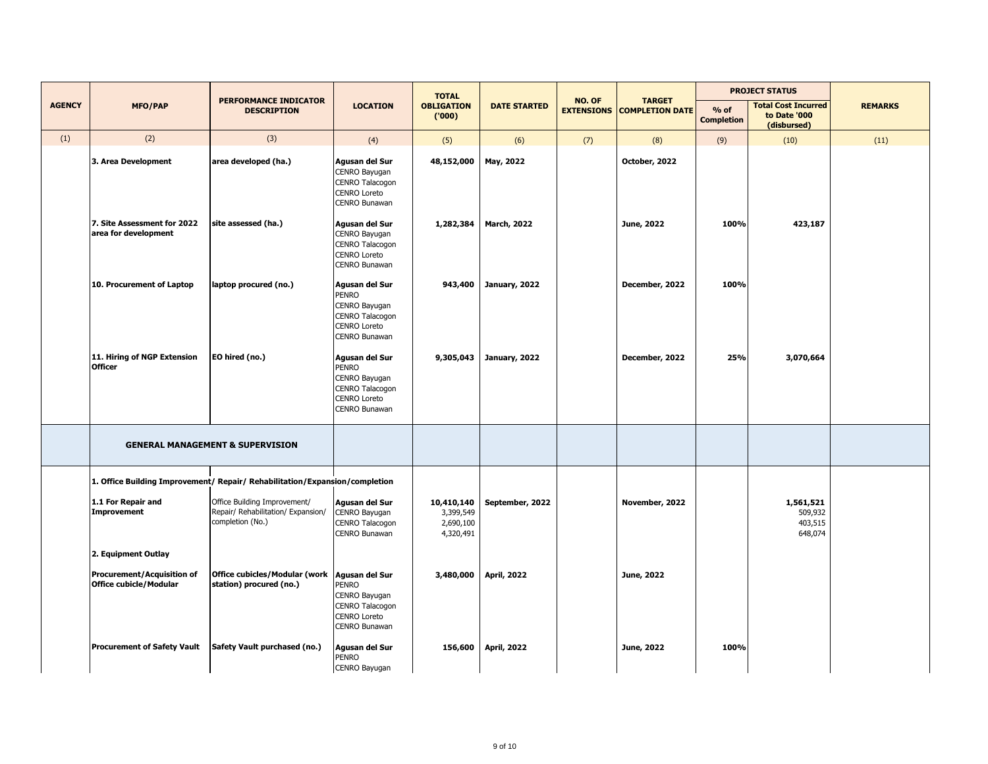|               |                                                                    |                                                                                        |                                                                                                            | <b>TOTAL</b>                                      | NO. OF              |                   | <b>PROJECT STATUS</b>                   |                             |                                                           |                |
|---------------|--------------------------------------------------------------------|----------------------------------------------------------------------------------------|------------------------------------------------------------------------------------------------------------|---------------------------------------------------|---------------------|-------------------|-----------------------------------------|-----------------------------|-----------------------------------------------------------|----------------|
| <b>AGENCY</b> | <b>MFO/PAP</b>                                                     | PERFORMANCE INDICATOR<br><b>DESCRIPTION</b>                                            | <b>LOCATION</b>                                                                                            | <b>OBLIGATION</b><br>(000)                        | <b>DATE STARTED</b> | <b>EXTENSIONS</b> | <b>TARGET</b><br><b>COMPLETION DATE</b> | $%$ of<br><b>Completion</b> | <b>Total Cost Incurred</b><br>to Date '000<br>(disbursed) | <b>REMARKS</b> |
| (1)           | (2)                                                                | (3)                                                                                    | (4)                                                                                                        | (5)                                               | (6)                 | (7)               | (8)                                     | (9)                         | (10)                                                      | (11)           |
|               | 3. Area Development                                                | area developed (ha.)                                                                   | Agusan del Sur<br>CENRO Bayugan<br>CENRO Talacogon<br><b>CENRO Loreto</b><br><b>CENRO Bunawan</b>          | 48,152,000                                        | May, 2022           |                   | October, 2022                           |                             |                                                           |                |
|               | 7. Site Assessment for 2022<br>area for development                | site assessed (ha.)                                                                    | Agusan del Sur<br>CENRO Bayugan<br>CENRO Talacogon<br><b>CENRO Loreto</b><br>CENRO Bunawan                 | 1,282,384                                         | <b>March, 2022</b>  |                   | June, 2022                              | 100%                        | 423,187                                                   |                |
|               | 10. Procurement of Laptop                                          | laptop procured (no.)                                                                  | Agusan del Sur<br><b>PENRO</b><br>CENRO Bayugan<br>CENRO Talacogon<br><b>CENRO Loreto</b><br>CENRO Bunawan | 943,400                                           | January, 2022       |                   | December, 2022                          | 100%                        |                                                           |                |
|               | 11. Hiring of NGP Extension<br><b>Officer</b>                      | EO hired (no.)                                                                         | Agusan del Sur<br><b>PENRO</b><br>CENRO Bayugan<br>CENRO Talacogon<br><b>CENRO Loreto</b><br>CENRO Bunawan | 9,305,043                                         | January, 2022       |                   | December, 2022                          | 25%                         | 3,070,664                                                 |                |
|               |                                                                    | <b>GENERAL MANAGEMENT &amp; SUPERVISION</b>                                            |                                                                                                            |                                                   |                     |                   |                                         |                             |                                                           |                |
|               |                                                                    | 1. Office Building Improvement/ Repair/ Rehabilitation/Expansion/completion            |                                                                                                            |                                                   |                     |                   |                                         |                             |                                                           |                |
|               | 1.1 For Repair and<br><b>Improvement</b>                           | Office Building Improvement/<br>Repair/ Rehabilitation/ Expansion/<br>completion (No.) | Agusan del Sur<br>CENRO Bayugan<br>CENRO Talacogon<br>CENRO Bunawan                                        | 10,410,140<br>3,399,549<br>2,690,100<br>4,320,491 | September, 2022     |                   | November, 2022                          |                             | 1,561,521<br>509,932<br>403,515<br>648,074                |                |
|               | 2. Equipment Outlay                                                |                                                                                        |                                                                                                            |                                                   |                     |                   |                                         |                             |                                                           |                |
|               | <b>Procurement/Acquisition of</b><br><b>Office cubicle/Modular</b> | Office cubicles/Modular (work   Agusan del Sur<br>station) procured (no.)              | <b>PENRO</b><br>CENRO Bayugan<br>CENRO Talacogon<br><b>CENRO Loreto</b><br>CENRO Bunawan                   | 3,480,000                                         | <b>April, 2022</b>  |                   | June, 2022                              |                             |                                                           |                |
|               | <b>Procurement of Safety Vault</b>                                 | Safety Vault purchased (no.)                                                           | Agusan del Sur<br><b>PENRO</b><br>CENRO Bayugan                                                            | 156,600                                           | <b>April, 2022</b>  |                   | June, 2022                              | 100%                        |                                                           |                |